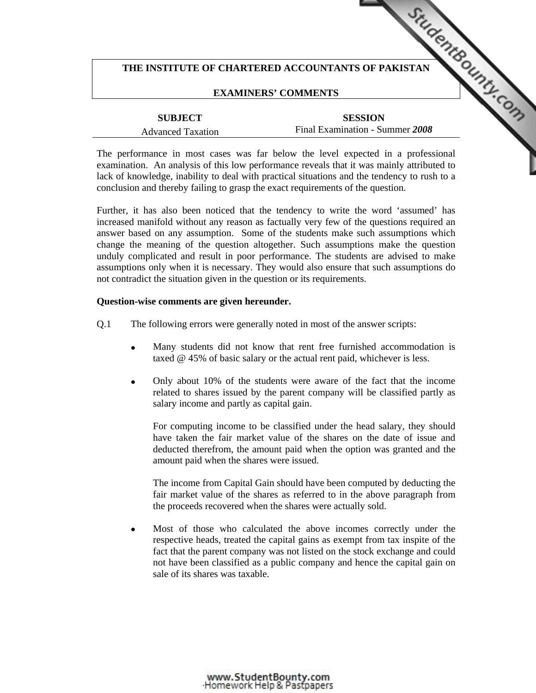## THE INSTITUTE OF CHARTERED ACCOUNTANTS OF PAKISTAN **COUNTAINS OF ALS AND THE UP OF PAKISTAN**

## **EXAMINERS' COMMENTS**

| <b>SUBJECT</b>           |  |
|--------------------------|--|
| <b>Advanced Taxation</b> |  |

**SESSION**  Final Examination - Summer *2008* 

The performance in most cases was far below the level exp[ected in a professional](http://www.studentbounty.com/)  examination. An analysis of this low performance reveals that it was mainly attributed to lack of knowledge, inability to deal with practical situations and the tendency to rush to a conclusion and thereby failing to grasp the exact requirements of the question.

Further, it has also been noticed that the tendency to write the word 'assumed' has increased manifold without any reason as factually very few of the questions required an answer based on any assumption. Some of the students make such assumptions which change the meaning of the question altogether. Such assumptions make the question unduly complicated and result in poor performance. The students are advised to make assumptions only when it is necessary. They would also ensure that such assumptions do not contradict the situation given in the question or its requirements.

## **Question-wise comments are given hereunder.**

- Q.1 The following errors were generally noted in most of the answer scripts:
	- Many students did not know that rent free furnished accommodation is taxed @ 45% of basic salary or the actual rent paid, whichever is less.
	- Only about 10% of the students were aware of the fact that the income related to shares issued by the parent company will be classified partly as salary income and partly as capital gain.

 For computing income to be classified under the head salary, they should have taken the fair market value of the shares on the date of issue and deducted therefrom, the amount paid when the option was granted and the amount paid when the shares were issued.

 The income from Capital Gain should have been computed by deducting the fair market value of the shares as referred to in the above paragraph from the proceeds recovered when the shares were actually sold.

Most of those who calculated the above incomes correctly under the respective heads, treated the capital gains as exempt from tax inspite of the fact that the parent company was not listed on the stock exchange and could not have been classified as a public company and hence the capital gain on sale of its shares was taxable.

www.StudentBounty.com<br>Homework Help & Pastpapers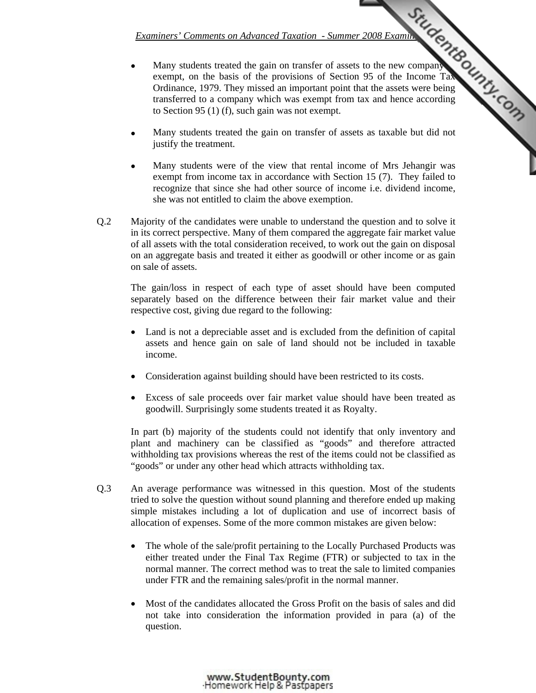- *Examiners' Comments on Advanced Taxation Summer 2008 Examinations*<br>
And the gain on transfer of assets to the new company<br>
and the line of Section 95 of the Income Taxanus<br>
the provisions of Section 95 of the Income Tax Many students treated the gain on transfer of assets to the new company exempt, on the basis of the provisions of Section 95 of the Income Tax Ordinance, 1979. They missed an important point that the assets were being transferred to a company which was exempt from tax and hence according to Section 95 (1) (f), such gain was not exempt.
- Many students treated the gain on transfer of assets as taxable but did not justify the treatment.
- Many students were of the view that rental inco[me of Mrs Jehangir was](http://www.studentbounty.com/)  exempt from income tax in accordance with Section 15 (7). They failed to recognize that since she had other source of income i.e. dividend income, she was not entitled to claim the above exemption.
- Q.2 Majority of the candidates were unable to understand the question and to solve it in its correct perspective. Many of them compared the aggregate fair market value of all assets with the total consideration received, to work out the gain on disposal on an aggregate basis and treated it either as goodwill or other income or as gain on sale of assets.

The gain/loss in respect of each type of asset should have been computed separately based on the difference between their fair market value and their respective cost, giving due regard to the following:

- Land is not a depreciable asset and is excluded from the definition of capital assets and hence gain on sale of land should not be included in taxable income.
- Consideration against building should have been restricted to its costs.
- Excess of sale proceeds over fair market value should have been treated as goodwill. Surprisingly some students treated it as Royalty.

In part (b) majority of the students could not identify that only inventory and plant and machinery can be classified as "goods" and therefore attracted withholding tax provisions whereas the rest of the items could not be classified as "goods" or under any other head which attracts withholding tax.

- Q.3 An average performance was witnessed in this question. Most of the students tried to solve the question without sound planning and therefore ended up making simple mistakes including a lot of duplication and use of incorrect basis of allocation of expenses. Some of the more common mistakes are given below:
	- The whole of the sale/profit pertaining to the Locally Purchased Products was either treated under the Final Tax Regime (FTR) or subjected to tax in the normal manner. The correct method was to treat the sale to limited companies under FTR and the remaining sales/profit in the normal manner.
	- Most of the candidates allocated the Gross Profit on the basis of sales and did not take into consideration the information provided in para (a) of the question.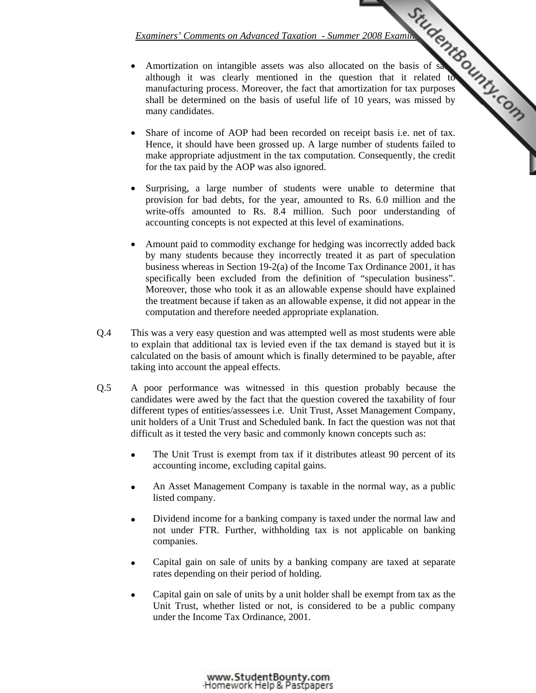- *Examiners' Comments on Advanced Taxation Summer 2008 Examination*<br>
Service is a subsequented in the question that it related to the the strain of the strain of the strain of the strain of the strain of the strain of the Amortization on intangible assets was also allocated on the basis of sales although it was clearly mentioned in the question that it related to manufacturing process. Moreover, the fact that amortization for tax purposes shall be determined on the basis of useful life of 10 years, was missed by many candidates.
- Share of income of AOP had been recorded on receipt basis i.e. net of tax. Hence, it should have been grossed up. A large num[ber of students failed to](http://www.studentbounty.com/)  make appropriate adjustment in the tax computation. Consequently, the credit for the tax paid by the AOP was also ignored.
- Surprising, a large number of students were unable to determine that provision for bad debts, for the year, amounted to Rs. 6.0 million and the write-offs amounted to Rs. 8.4 million. Such poor understanding of accounting concepts is not expected at this level of examinations.
- Amount paid to commodity exchange for hedging was incorrectly added back by many students because they incorrectly treated it as part of speculation business whereas in Section 19-2(a) of the Income Tax Ordinance 2001, it has specifically been excluded from the definition of "speculation business". Moreover, those who took it as an allowable expense should have explained the treatment because if taken as an allowable expense, it did not appear in the computation and therefore needed appropriate explanation.
- Q.4 This was a very easy question and was attempted well as most students were able to explain that additional tax is levied even if the tax demand is stayed but it is calculated on the basis of amount which is finally determined to be payable, after taking into account the appeal effects.
- Q.5 A poor performance was witnessed in this question probably because the candidates were awed by the fact that the question covered the taxability of four different types of entities/assessees i.e. Unit Trust, Asset Management Company, unit holders of a Unit Trust and Scheduled bank. In fact the question was not that difficult as it tested the very basic and commonly known concepts such as:
	- The Unit Trust is exempt from tax if it distributes at east 90 percent of its accounting income, excluding capital gains.
	- An Asset Management Company is taxable in the normal way, as a public listed company.
	- Dividend income for a banking company is taxed under the normal law and not under FTR. Further, withholding tax is not applicable on banking companies.
	- Capital gain on sale of units by a banking company are taxed at separate rates depending on their period of holding.
	- Capital gain on sale of units by a unit holder shall be exempt from tax as the Unit Trust, whether listed or not, is considered to be a public company under the Income Tax Ordinance, 2001.

www.StudentBounty.com<br>Homework Help & Pastpapers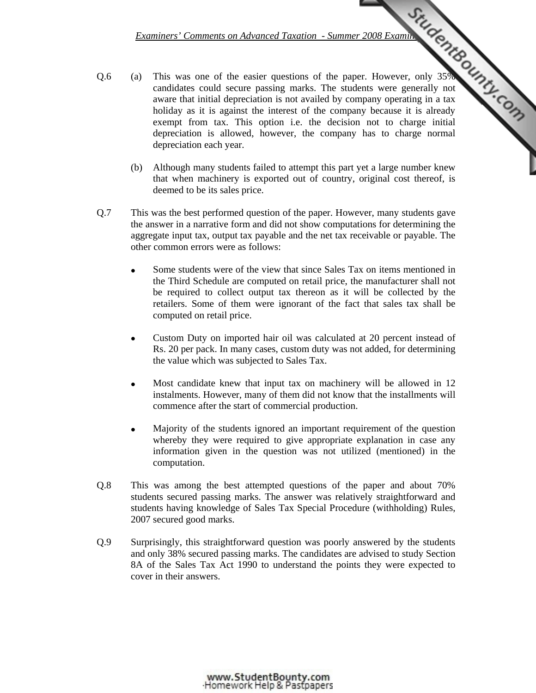- *Examiners' Comments on Advanced Taxation Summer 2008 Examinations*<br>
The students were generally not<br>
The students were generally not<br>
it is already<br>
it is already<br>
The students were generally not Q.6 (a) This was one of the easier questions of the paper. However, only 35% candidates could secure passing marks. The students were generally not aware that initial depreciation is not availed by company operating in a tax holiday as it is against the interest of the company because it is already exempt from tax. This option i.e. the decision not to charge initial depreciation is allowed, however, the company has to charge normal depreciation each year.
	- (b) Although many students failed to attempt this part [yet a large number knew](http://www.studentbounty.com/)  that when machinery is exported out of country, original cost thereof, is deemed to be its sales price.
- Q.7 This was the best performed question of the paper. However, many students gave the answer in a narrative form and did not show computations for determining the aggregate input tax, output tax payable and the net tax receivable or payable. The other common errors were as follows:
	- Some students were of the view that since Sales Tax on items mentioned in the Third Schedule are computed on retail price, the manufacturer shall not be required to collect output tax thereon as it will be collected by the retailers. Some of them were ignorant of the fact that sales tax shall be computed on retail price.
	- Custom Duty on imported hair oil was calculated at 20 percent instead of Rs. 20 per pack. In many cases, custom duty was not added, for determining the value which was subjected to Sales Tax.
	- Most candidate knew that input tax on machinery will be allowed in 12 instalments. However, many of them did not know that the installments will commence after the start of commercial production.
	- Majority of the students ignored an important requirement of the question whereby they were required to give appropriate explanation in case any information given in the question was not utilized (mentioned) in the computation.
- Q.8 This was among the best attempted questions of the paper and about 70% students secured passing marks. The answer was relatively straightforward and students having knowledge of Sales Tax Special Procedure (withholding) Rules, 2007 secured good marks.
- Q.9 Surprisingly, this straightforward question was poorly answered by the students and only 38% secured passing marks. The candidates are advised to study Section 8A of the Sales Tax Act 1990 to understand the points they were expected to cover in their answers.